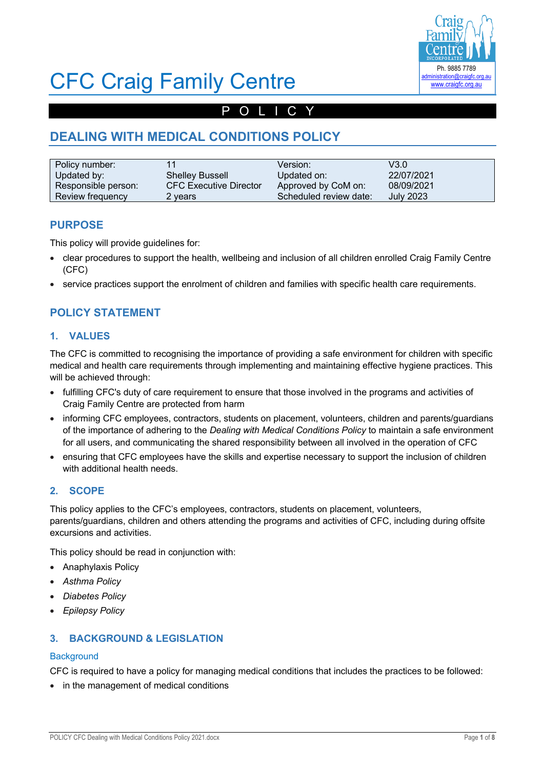

# CFC Craig Family Centre

## POLICY

# **DEALING WITH MEDICAL CONDITIONS POLICY**

| Policy number:      | 11                            | Version:               | V3.0             |
|---------------------|-------------------------------|------------------------|------------------|
| Updated by:         | <b>Shelley Bussell</b>        | Updated on:            | 22/07/2021       |
| Responsible person: | <b>CFC Executive Director</b> | Approved by CoM on:    | 08/09/2021       |
| Review frequency    | 2 vears                       | Scheduled review date: | <b>July 2023</b> |

## **PURPOSE**

This policy will provide guidelines for:

- clear procedures to support the health, wellbeing and inclusion of all children enrolled Craig Family Centre (CFC)
- service practices support the enrolment of children and families with specific health care requirements.

## **POLICY STATEMENT**

#### **1. VALUES**

The CFC is committed to recognising the importance of providing a safe environment for children with specific medical and health care requirements through implementing and maintaining effective hygiene practices. This will be achieved through:

- fulfilling CFC's duty of care requirement to ensure that those involved in the programs and activities of Craig Family Centre are protected from harm
- informing CFC employees, contractors, students on placement, volunteers, children and parents/guardians of the importance of adhering to the *Dealing with Medical Conditions Policy* to maintain a safe environment for all users, and communicating the shared responsibility between all involved in the operation of CFC
- ensuring that CFC employees have the skills and expertise necessary to support the inclusion of children with additional health needs.

## **2. SCOPE**

This policy applies to the CFC's employees, contractors, students on placement, volunteers, parents/guardians, children and others attending the programs and activities of CFC, including during offsite excursions and activities.

This policy should be read in conjunction with:

- Anaphylaxis Policy
- *Asthma Policy*
- *Diabetes Policy*
- *Epilepsy Policy*

#### **3. BACKGROUND & LEGISLATION**

#### **Background**

CFC is required to have a policy for managing medical conditions that includes the practices to be followed:

• in the management of medical conditions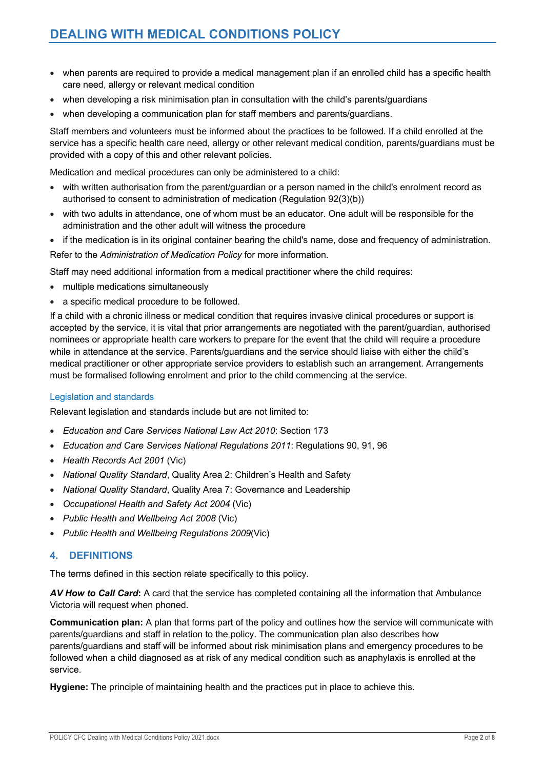- when parents are required to provide a medical management plan if an enrolled child has a specific health care need, allergy or relevant medical condition
- when developing a risk minimisation plan in consultation with the child's parents/guardians
- when developing a communication plan for staff members and parents/guardians.

Staff members and volunteers must be informed about the practices to be followed. If a child enrolled at the service has a specific health care need, allergy or other relevant medical condition, parents/guardians must be provided with a copy of this and other relevant policies.

Medication and medical procedures can only be administered to a child:

- with written authorisation from the parent/guardian or a person named in the child's enrolment record as authorised to consent to administration of medication (Regulation 92(3)(b))
- with two adults in attendance, one of whom must be an educator. One adult will be responsible for the administration and the other adult will witness the procedure
- if the medication is in its original container bearing the child's name, dose and frequency of administration.

Refer to the *Administration of Medication Policy* for more information.

Staff may need additional information from a medical practitioner where the child requires:

- multiple medications simultaneously
- a specific medical procedure to be followed.

If a child with a chronic illness or medical condition that requires invasive clinical procedures or support is accepted by the service, it is vital that prior arrangements are negotiated with the parent/guardian, authorised nominees or appropriate health care workers to prepare for the event that the child will require a procedure while in attendance at the service. Parents/guardians and the service should liaise with either the child's medical practitioner or other appropriate service providers to establish such an arrangement. Arrangements must be formalised following enrolment and prior to the child commencing at the service.

#### Legislation and standards

Relevant legislation and standards include but are not limited to:

- *Education and Care Services National Law Act 2010*: Section 173
- *Education and Care Services National Regulations 2011*: Regulations 90, 91, 96
- *Health Records Act 2001* (Vic)
- *National Quality Standard*, Quality Area 2: Children's Health and Safety
- *National Quality Standard*, Quality Area 7: Governance and Leadership
- *Occupational Health and Safety Act 2004* (Vic)
- *Public Health and Wellbeing Act 2008* (Vic)
- *Public Health and Wellbeing Regulations 2009*(Vic)

#### **4. DEFINITIONS**

The terms defined in this section relate specifically to this policy.

*AV How to Call Card***:** A card that the service has completed containing all the information that Ambulance Victoria will request when phoned.

**Communication plan:** A plan that forms part of the policy and outlines how the service will communicate with parents/guardians and staff in relation to the policy. The communication plan also describes how parents/guardians and staff will be informed about risk minimisation plans and emergency procedures to be followed when a child diagnosed as at risk of any medical condition such as anaphylaxis is enrolled at the service.

**Hygiene:** The principle of maintaining health and the practices put in place to achieve this.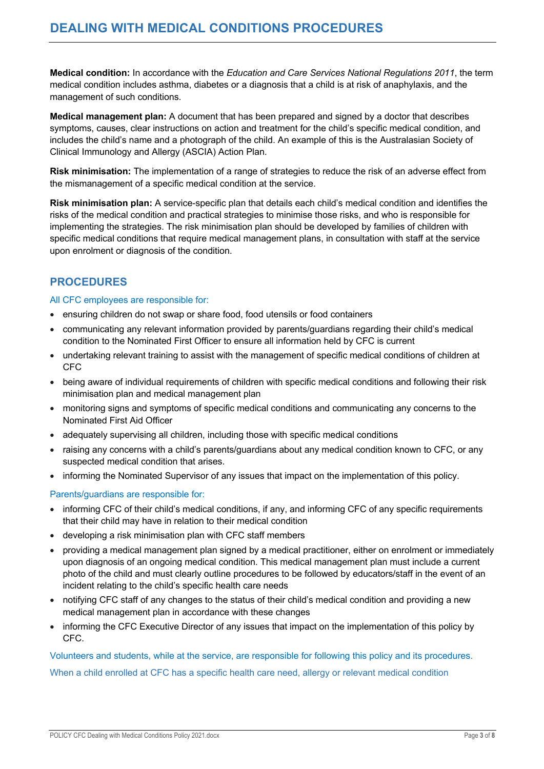**Medical condition:** In accordance with the *Education and Care Services National Regulations 2011*, the term medical condition includes asthma, diabetes or a diagnosis that a child is at risk of anaphylaxis, and the management of such conditions.

**Medical management plan:** A document that has been prepared and signed by a doctor that describes symptoms, causes, clear instructions on action and treatment for the child's specific medical condition, and includes the child's name and a photograph of the child. An example of this is the Australasian Society of Clinical Immunology and Allergy (ASCIA) Action Plan.

**Risk minimisation:** The implementation of a range of strategies to reduce the risk of an adverse effect from the mismanagement of a specific medical condition at the service.

**Risk minimisation plan:** A service-specific plan that details each child's medical condition and identifies the risks of the medical condition and practical strategies to minimise those risks, and who is responsible for implementing the strategies. The risk minimisation plan should be developed by families of children with specific medical conditions that require medical management plans, in consultation with staff at the service upon enrolment or diagnosis of the condition.

## **PROCEDURES**

#### All CFC employees are responsible for:

- ensuring children do not swap or share food, food utensils or food containers
- communicating any relevant information provided by parents/guardians regarding their child's medical condition to the Nominated First Officer to ensure all information held by CFC is current
- undertaking relevant training to assist with the management of specific medical conditions of children at CFC
- being aware of individual requirements of children with specific medical conditions and following their risk minimisation plan and medical management plan
- monitoring signs and symptoms of specific medical conditions and communicating any concerns to the Nominated First Aid Officer
- adequately supervising all children, including those with specific medical conditions
- raising any concerns with a child's parents/guardians about any medical condition known to CFC, or any suspected medical condition that arises.
- informing the Nominated Supervisor of any issues that impact on the implementation of this policy.

#### Parents/guardians are responsible for:

- informing CFC of their child's medical conditions, if any, and informing CFC of any specific requirements that their child may have in relation to their medical condition
- developing a risk minimisation plan with CFC staff members
- providing a medical management plan signed by a medical practitioner, either on enrolment or immediately upon diagnosis of an ongoing medical condition. This medical management plan must include a current photo of the child and must clearly outline procedures to be followed by educators/staff in the event of an incident relating to the child's specific health care needs
- notifying CFC staff of any changes to the status of their child's medical condition and providing a new medical management plan in accordance with these changes
- informing the CFC Executive Director of any issues that impact on the implementation of this policy by CFC.

Volunteers and students, while at the service, are responsible for following this policy and its procedures. When a child enrolled at CFC has a specific health care need, allergy or relevant medical condition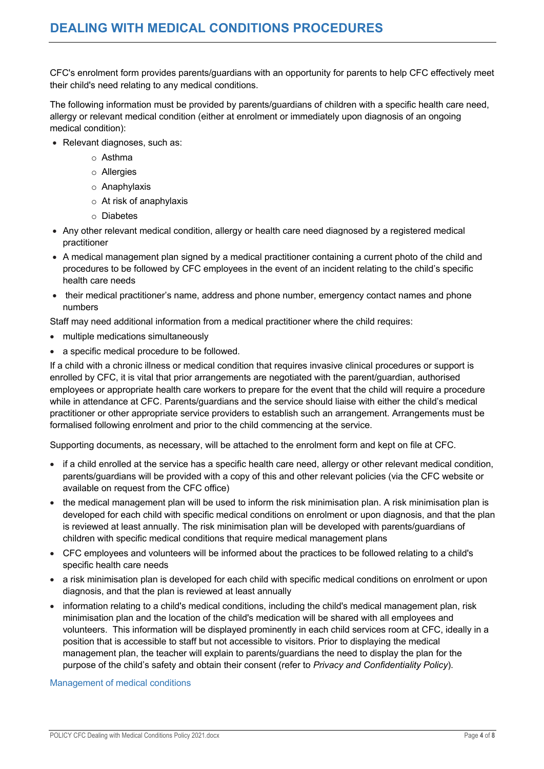CFC's enrolment form provides parents/guardians with an opportunity for parents to help CFC effectively meet their child's need relating to any medical conditions.

The following information must be provided by parents/guardians of children with a specific health care need, allergy or relevant medical condition (either at enrolment or immediately upon diagnosis of an ongoing medical condition):

- Relevant diagnoses, such as:
	- o Asthma
	- o Allergies
	- o Anaphylaxis
	- o At risk of anaphylaxis
	- o Diabetes
- Any other relevant medical condition, allergy or health care need diagnosed by a registered medical practitioner
- A medical management plan signed by a medical practitioner containing a current photo of the child and procedures to be followed by CFC employees in the event of an incident relating to the child's specific health care needs
- their medical practitioner's name, address and phone number, emergency contact names and phone numbers

Staff may need additional information from a medical practitioner where the child requires:

- multiple medications simultaneously
- a specific medical procedure to be followed.

If a child with a chronic illness or medical condition that requires invasive clinical procedures or support is enrolled by CFC, it is vital that prior arrangements are negotiated with the parent/guardian, authorised employees or appropriate health care workers to prepare for the event that the child will require a procedure while in attendance at CFC. Parents/guardians and the service should liaise with either the child's medical practitioner or other appropriate service providers to establish such an arrangement. Arrangements must be formalised following enrolment and prior to the child commencing at the service.

Supporting documents, as necessary, will be attached to the enrolment form and kept on file at CFC.

- if a child enrolled at the service has a specific health care need, allergy or other relevant medical condition, parents/guardians will be provided with a copy of this and other relevant policies (via the CFC website or available on request from the CFC office)
- the medical management plan will be used to inform the risk minimisation plan. A risk minimisation plan is developed for each child with specific medical conditions on enrolment or upon diagnosis, and that the plan is reviewed at least annually. The risk minimisation plan will be developed with parents/guardians of children with specific medical conditions that require medical management plans
- CFC employees and volunteers will be informed about the practices to be followed relating to a child's specific health care needs
- a risk minimisation plan is developed for each child with specific medical conditions on enrolment or upon diagnosis, and that the plan is reviewed at least annually
- information relating to a child's medical conditions, including the child's medical management plan, risk minimisation plan and the location of the child's medication will be shared with all employees and volunteers. This information will be displayed prominently in each child services room at CFC, ideally in a position that is accessible to staff but not accessible to visitors. Prior to displaying the medical management plan, the teacher will explain to parents/guardians the need to display the plan for the purpose of the child's safety and obtain their consent (refer to *Privacy and Confidentiality Policy*).

Management of medical conditions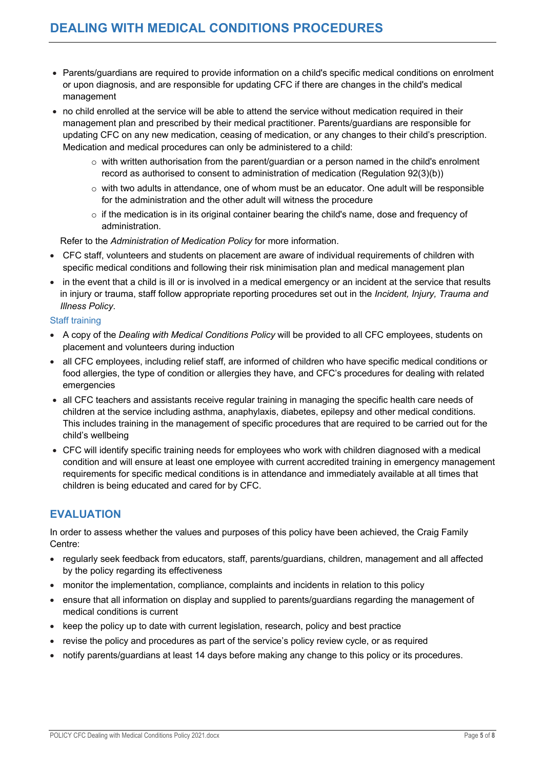- Parents/guardians are required to provide information on a child's specific medical conditions on enrolment or upon diagnosis, and are responsible for updating CFC if there are changes in the child's medical management
- no child enrolled at the service will be able to attend the service without medication required in their management plan and prescribed by their medical practitioner. Parents/guardians are responsible for updating CFC on any new medication, ceasing of medication, or any changes to their child's prescription. Medication and medical procedures can only be administered to a child:
	- o with written authorisation from the parent/guardian or a person named in the child's enrolment record as authorised to consent to administration of medication (Regulation 92(3)(b))
	- $\circ$  with two adults in attendance, one of whom must be an educator. One adult will be responsible for the administration and the other adult will witness the procedure
	- $\circ$  if the medication is in its original container bearing the child's name, dose and frequency of administration.

Refer to the *Administration of Medication Policy* for more information.

- CFC staff, volunteers and students on placement are aware of individual requirements of children with specific medical conditions and following their risk minimisation plan and medical management plan
- in the event that a child is ill or is involved in a medical emergency or an incident at the service that results in injury or trauma, staff follow appropriate reporting procedures set out in the *Incident, Injury, Trauma and Illness Policy*.

#### Staff training

- A copy of the *Dealing with Medical Conditions Policy* will be provided to all CFC employees, students on placement and volunteers during induction
- all CFC employees, including relief staff, are informed of children who have specific medical conditions or food allergies, the type of condition or allergies they have, and CFC's procedures for dealing with related emergencies
- all CFC teachers and assistants receive regular training in managing the specific health care needs of children at the service including asthma, anaphylaxis, diabetes, epilepsy and other medical conditions. This includes training in the management of specific procedures that are required to be carried out for the child's wellbeing
- CFC will identify specific training needs for employees who work with children diagnosed with a medical condition and will ensure at least one employee with current accredited training in emergency management requirements for specific medical conditions is in attendance and immediately available at all times that children is being educated and cared for by CFC.

## **EVALUATION**

In order to assess whether the values and purposes of this policy have been achieved, the Craig Family Centre:

- regularly seek feedback from educators, staff, parents/guardians, children, management and all affected by the policy regarding its effectiveness
- monitor the implementation, compliance, complaints and incidents in relation to this policy
- ensure that all information on display and supplied to parents/guardians regarding the management of medical conditions is current
- keep the policy up to date with current legislation, research, policy and best practice
- revise the policy and procedures as part of the service's policy review cycle, or as required
- notify parents/guardians at least 14 days before making any change to this policy or its procedures.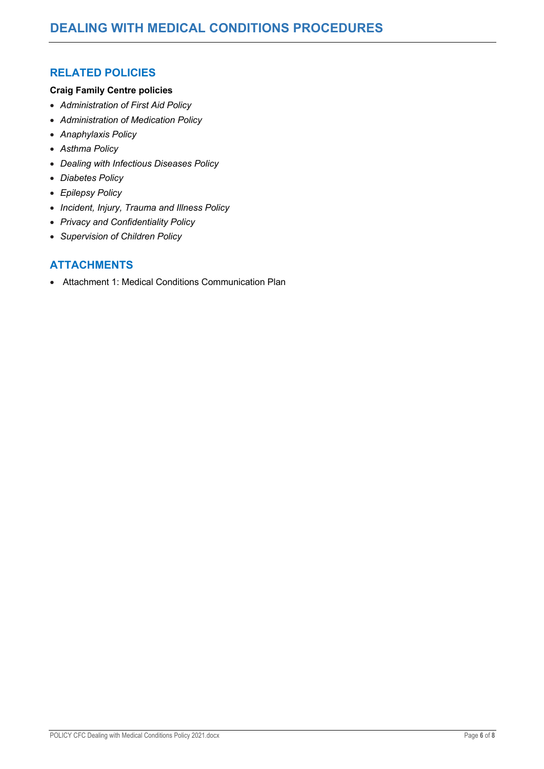## **RELATED POLICIES**

#### **Craig Family Centre policies**

- *Administration of First Aid Policy*
- *Administration of Medication Policy*
- *Anaphylaxis Policy*
- *Asthma Policy*
- *Dealing with Infectious Diseases Policy*
- *Diabetes Policy*
- *Epilepsy Policy*
- *Incident, Injury, Trauma and Illness Policy*
- *Privacy and Confidentiality Policy*
- *Supervision of Children Policy*

## **ATTACHMENTS**

• Attachment 1: Medical Conditions Communication Plan